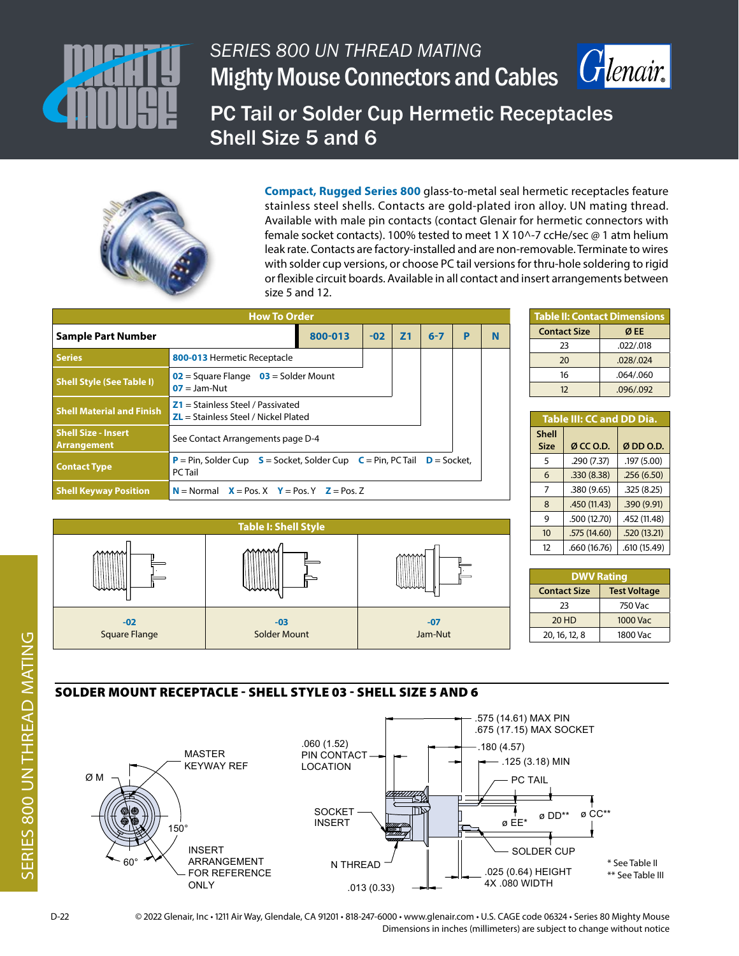

# *SERIES 800 UN THREAD MATING* Mighty Mouse Connectors and Cables



PC Tail or Solder Cup Hermetic Receptacles Shell Size 5 and 6



**Compact, Rugged Series 800** glass-to-metal seal hermetic receptacles feature stainless steel shells. Contacts are gold-plated iron alloy. UN mating thread. Available with male pin contacts (contact Glenair for hermetic connectors with female socket contacts). 100% tested to meet 1 X 10^-7 ccHe/sec @ 1 atm helium leak rate. Contacts are factory-installed and are non-removable. Terminate to wires with solder cup versions, or choose PC tail versions for thru-hole soldering to rigid or flexible circuit boards. Available in all contact and insert arrangements between size 5 and 12.

|                                                  | <b>How To Order</b>                                                                      |         |       |           |               |   |   |
|--------------------------------------------------|------------------------------------------------------------------------------------------|---------|-------|-----------|---------------|---|---|
| Sample Part Number                               |                                                                                          | 800-013 | $-02$ | <b>Z1</b> | $6 - 7$       | P | N |
| <b>Series</b>                                    | 800-013 Hermetic Receptacle                                                              |         |       |           |               |   |   |
| <b>Shell Style (See Table I)</b>                 | $02$ = Square Flange $03$ = Solder Mount<br>$07 =$ Jam-Nut                               |         |       |           |               |   |   |
| <b>Shell Material and Finish</b>                 | $Z1 =$ Stainless Steel / Passivated<br>$ZL$ = Stainless Steel / Nickel Plated            |         |       |           |               |   |   |
| <b>Shell Size - Insert</b><br><b>Arrangement</b> | See Contact Arrangements page D-4                                                        |         |       |           |               |   |   |
| <b>Contact Type</b>                              | <b>P</b> = Pin, Solder Cup $S$ = Socket, Solder Cup $C$ = Pin, PC Tail<br><b>PC</b> Tail |         |       |           | $D =$ Socket. |   |   |
| <b>Shell Keyway Position</b>                     | $N =$ Normal $X =$ Pos. $X$ $Y =$ Pos. $Y$ $Z =$ Pos. Z                                  |         |       |           |               |   |   |

| <b>Table II: Contact Dimensions</b> |           |  |  |  |
|-------------------------------------|-----------|--|--|--|
| <b>Contact Size</b>                 | Ø EE      |  |  |  |
| 23                                  | .022/.018 |  |  |  |
| 20                                  | .028/.024 |  |  |  |
| 16                                  | .064/.060 |  |  |  |
| 12                                  | .096/.092 |  |  |  |

| Table III: CC and DD Dia.   |              |              |  |  |  |  |
|-----------------------------|--------------|--------------|--|--|--|--|
| <b>Shell</b><br><b>Size</b> | Ø CC O.D.    | ØDD O.D.     |  |  |  |  |
| 5                           | .290 (7.37)  | .197 (5.00)  |  |  |  |  |
| 6                           | .330(8.38)   | .256(6.50)   |  |  |  |  |
| 7                           | .380 (9.65)  | .325(8.25)   |  |  |  |  |
| 8                           | .450 (11.43) | .390 (9.91)  |  |  |  |  |
| 9                           | .500 (12.70) | .452 (11.48) |  |  |  |  |
| 10                          | .575 (14.60) | .520 (13.21) |  |  |  |  |
| 12                          | .660 (16.76) | .610 (15.49) |  |  |  |  |



| <b>DWV Rating</b>                          |                 |  |  |  |  |
|--------------------------------------------|-----------------|--|--|--|--|
| <b>Test Voltage</b><br><b>Contact Size</b> |                 |  |  |  |  |
| 23                                         | 750 Vac         |  |  |  |  |
| <b>20 HD</b>                               | <b>1000 Vac</b> |  |  |  |  |
| 20, 16, 12, 8                              | 1800 Vac        |  |  |  |  |

## SOLDER MOUNT RECEPTACLE - SHELL STYLE 03 - SHELL SIZE 5 AND 6



D-22 © 2022 Glenair, Inc • 1211 Air Way, Glendale, CA 91201 • 818-247-6000 • www.glenair.com • U.S. CAGE code 06324 • Series 80 Mighty Mouse Dimensions in inches (millimeters) are subject to change without notice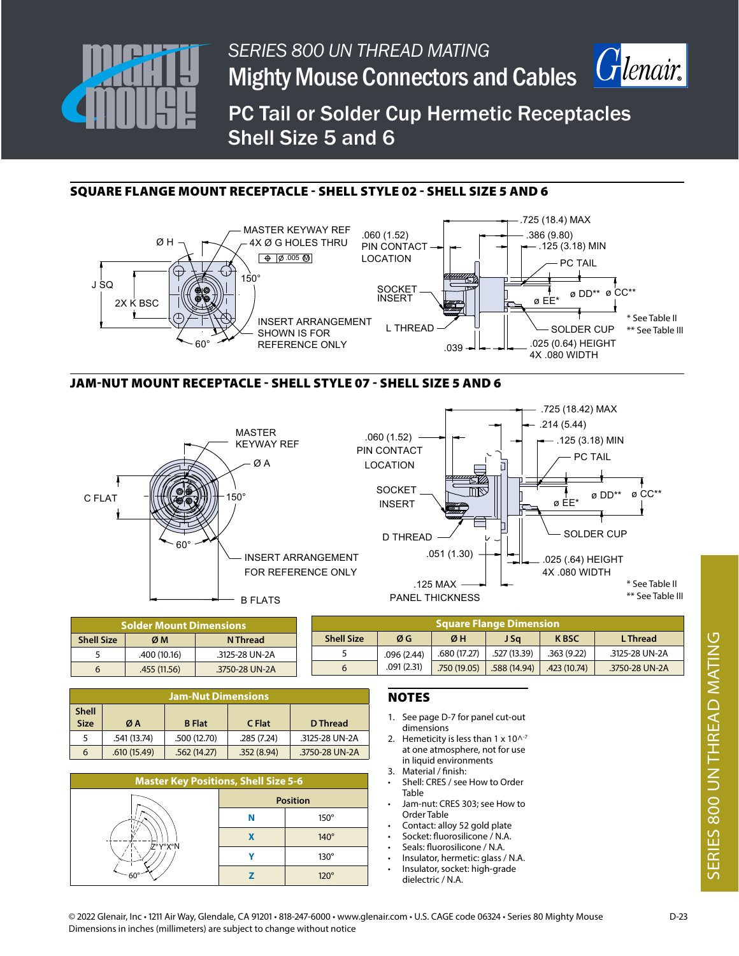

*SERIES 800 UN THREAD MATING* **Mighty Mouse Connectors and Cables** 



PC Tail or Solder Cup Hermetic Receptacles Shell Size 5 and 6

## SQUARE FLANGE MOUNT RECEPTACLE - SHELL STYLE 02 - SHELL SIZE 5 AND 6



### JAM-NUT MOUNT RECEPTACLE - SHELL STYLE 07 - SHELL SIZE 5 AND 6





| <b>Solder Mount Dimensions</b> |              |                | <b>Square Flange Dimension</b> |            |              |              |              |                |
|--------------------------------|--------------|----------------|--------------------------------|------------|--------------|--------------|--------------|----------------|
| <b>Shell Size</b>              | ØM           | N Thread       | <b>Shell Size</b>              | ØG         | ØН           | J Sa         | <b>K BSC</b> | L Thread       |
|                                | .400 (10.16) | .3125-28 UN-2A |                                | .096(2.44) | .680 (17.27) | .527 (13.39) | .363(9.22)   | .3125-28 UN-2A |
|                                | .455 (11.56) | .3750-28 UN-2A |                                | .091(2.31) | .750(19.05)  | .588(14.94)  | .423 (10.74) | .3750-28 UN-2A |

| Jam-Nut Dimensions          |              |               |            |                |  |  |
|-----------------------------|--------------|---------------|------------|----------------|--|--|
| <b>Shell</b><br><b>Size</b> | ØΑ           | <b>B</b> Flat | C Flat     | D Thread       |  |  |
| 5                           | .541 (13.74) | .500 (12.70)  | .285(7.24) | .3125-28 UN-2A |  |  |
| 6                           | .610(15.49)  | .562(14.27)   | .352(8.94) | .3750-28 UN-2A |  |  |

| <b>Master Key Positions, Shell Size 5-6</b> |  |                 |  |  |  |  |
|---------------------------------------------|--|-----------------|--|--|--|--|
|                                             |  | <b>Position</b> |  |  |  |  |
| Z°Y°X°N                                     |  | $150^\circ$     |  |  |  |  |
|                                             |  | $140^\circ$     |  |  |  |  |
|                                             |  | $130^\circ$     |  |  |  |  |
|                                             |  | 120°            |  |  |  |  |

#### NOTES

- 1. See page D-7 for panel cut-out dimensions
- 2. Hemeticity is less than  $1 \times 10^{\text{A-7}}$ at one atmosphere, not for use in liquid environments
- 3. Material / finish:
- Shell: CRES / see How to Order Table
- Jam-nut: CRES 303; see How to Order Table
- Contact: alloy 52 gold plate
- Socket: fluorosilicone / N.A.
- Seals: fluorosilicone / N.A.
- Insulator, hermetic: glass / N.A.
	- Insulator, socket: high-grade dielectric / N.A.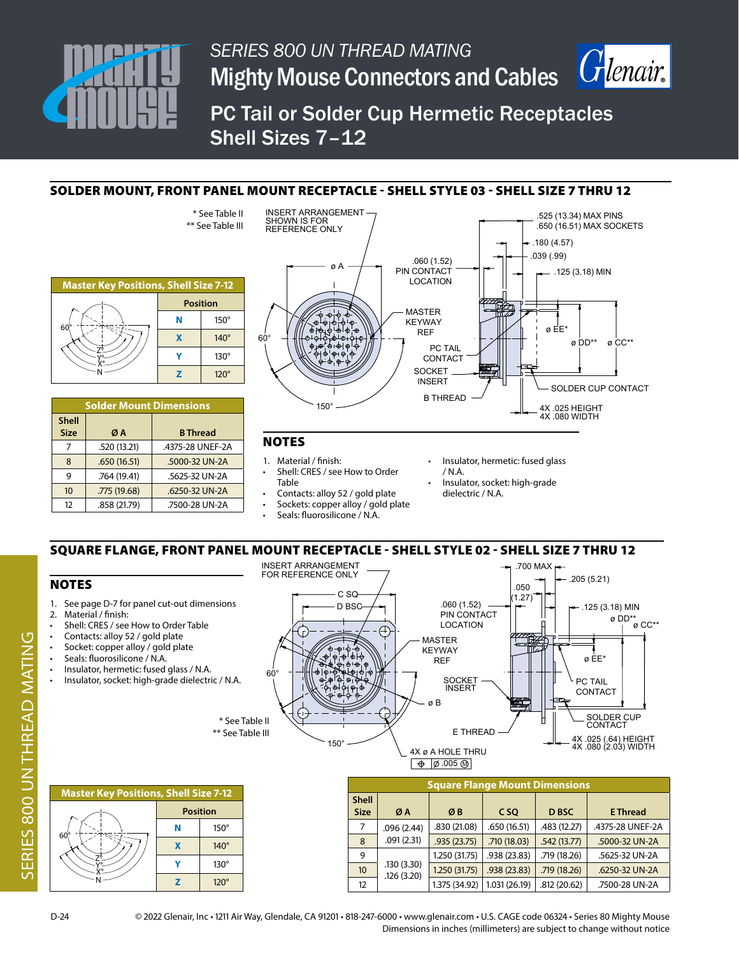

7 .520 (13.21) .4375-28 UNEF-2A 8 .650 (16.51) .5000-32 UN-2A 9 .764 (19.41) .5625-32 UN-2A 10 .775 (19.68) .6250-32 UN-2A 12 .858 (21.79) .7500-28 UN-2A



ø DD\*\*ø CC\*\*

PC Tail or Solder Cup Hermetic Receptacles Shell Sizes 7–12

## SOLDER MOUNT, FRONT PANEL MOUNT RECEPTACLE - SHELL STYLE 03 - SHELL SIZE 7 THRU 12



- 1. Material / finish: Shell: CRES / see How to Order Table
- Insulator, hermetic: fused glass / N.A.
- Insulator, socket: high-grade dielectric / N.A.

12 **12 1.375 (34.92)** 1.031 (26.19) .812 (20.62) .7500-28 UN-2A

- Contacts: alloy 52 / gold plate Sockets: copper alloy / gold plate
- Seals: fluorosilicone / N.A.
- SQUARE FLANGE, FRONT PANEL MOUNT RECEPTACLE SHELL STYLE 02 SHELL SIZE 7 THRU 12



D-24 © 2022 Glenair, Inc • 1211 Air Way, Glendale, CA 91201 • 818-247-6000 • www.glenair.com • U.S. CAGE code 06324 • Series 80 Mighty Mouse Dimensions in inches (millimeters) are subject to change without notice

.126 (3.20)

X° N

 $\overline{z}$  | 120<sup>°</sup>